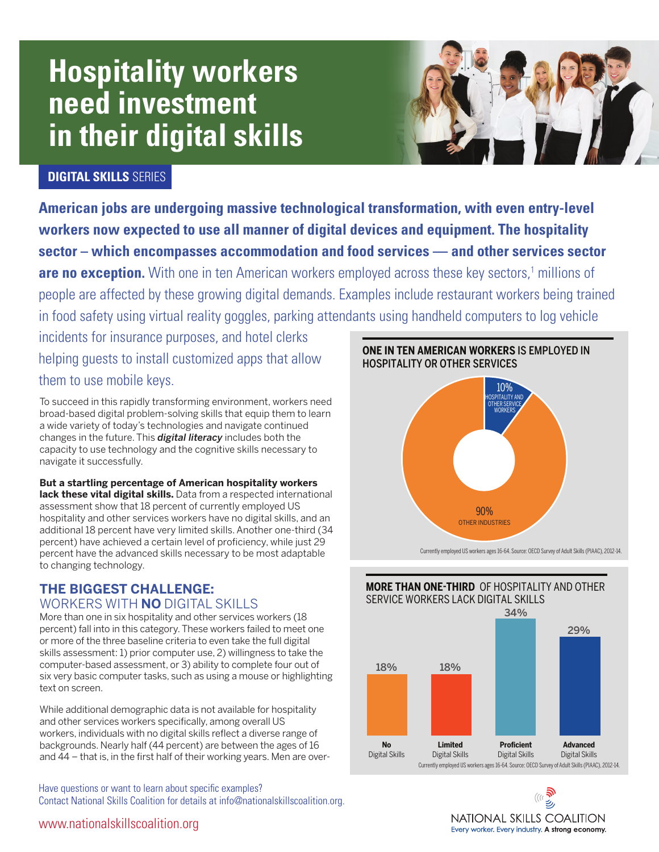# **Hospitality workers need investment in their digital skills**



## **DIGITAL SKILLS** SERIES

**American jobs are undergoing massive technological transformation, with even entry-level workers now expected to use all manner of digital devices and equipment. The hospitality sector – which encompasses accommodation and food services — and other services sector**  are no exception. With one in ten American workers employed across these key sectors,<sup>1</sup> millions of people are affected by these growing digital demands. Examples include restaurant workers being trained in food safety using virtual reality goggles, parking attendants using handheld computers to log vehicle ilpies incluue restaurant wur

incidents for insurance purposes, and hotel clerks helping guests to install customized apps that allow them to use mobile keys.

To succeed in this rapidly transforming environment, workers need broad-based digital problem-solving skills that equip them to learn a wide variety of today's technologies and navigate continued changes in the future. This *digital literacy* includes both the capacity to use technology and the cognitive skills necessary to navigate it successfully.

#### **But a startling percentage of American hospitality workers lack these vital digital skills.** Data from a respected international

assessment show that 18 percent of currently employed US hospitality and other services workers have no digital skills, and an additional 18 percent have very limited skills. Another one-third (34 percent) have achieved a certain level of proficiency, while just 29 percent have the advanced skills necessary to be most adaptable to changing technology.

## **THE BIGGEST CHALLENGE:**  WORKERS WITH **NO** DIGITAL SKILLS

More than one in six hospitality and other services workers (18 percent) fall into in this category. These workers failed to meet one or more of the three baseline criteria to even take the full digital skills assessment: 1) prior computer use, 2) willingness to take the computer-based assessment, or 3) ability to complete four out of six very basic computer tasks, such as using a mouse or highlighting text on screen.

While additional demographic data is not available for hospitality and other services workers specifically, among overall US workers, individuals with no digital skills reflect a diverse range of backgrounds. Nearly half (44 percent) are between the ages of 16 and 44 – that is, in the first half of their working years. Men are over-

Have questions or want to learn about specific examples? Contact National Skills Coalition for details at info@nationalskillscoalition.org.

#### **ONE IN TEN AMERICAN WORKERS IS EMPLOYED IN** HOSPITALITY OR OTHER SERVICES OTHER SERVICE



Currently employed US workers ages 16-64. Source: OECD Survey of Adult Skills (PIAAC), 2012-14.





www.nationalskillscoalition.org